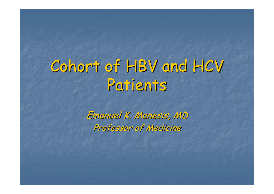# Cohort of HBV and HCV Patients

Emanuel K. Manesis, MD Professor of Medicine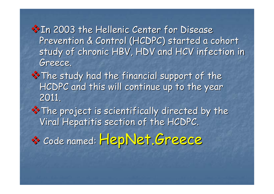**X** In 2003 the Hellenic Center for Disease Prevention & Control (HCDPC) started a cohort study of chronic HBV, HDV and HCV infection in Greece. Greece.

 $*$  The study had the financial support of the HCDPC and this will continue up to the year 2011.

\* The project is scientifically directed by the Viral Hepatitis section of the HCDPC.

\* Code named: HepNet.Greece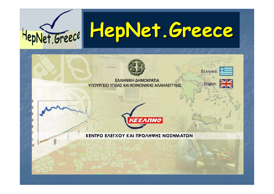

# **HepNet.Greece HepNet.Greece**



ΕΛΛΗΝΙΚΗ ΔΗΜΟΚΡΑΤΙΑ ΥΠΟΥΡΓΕΙΟ ΥΓΕΙΑΣ ΚΑΙ ΚΟΙΝΩΝΙΚΗΣ ΑΛΛΗΛΕΓΓΥΗΣ Ελληνικά

English





ΚΕΝΤΡΟ ΕΛΕΓΧΟΥ ΚΑΙ ΠΡΟΛΗΨΗΣ ΝΟΣΗΜΑΤΩΝ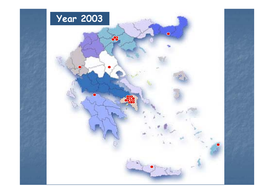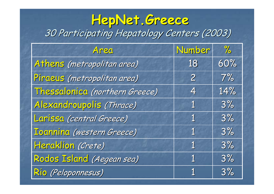#### **HepNet.Greece HepNet.Greece** 30 Participating Hepatology Centers (2003)

| Area                           | Number         | $\frac{9}{6}$ |
|--------------------------------|----------------|---------------|
| Athens (metropolitan area)     | 18             | 60%           |
| Piraeus (metropolitan area)    | $\overline{2}$ | $7\%$         |
| Thessalonica (northern Greece) | 4              | 14%           |
| Alexandroupolis (Thrace)       | $\mathbf 1$    | 3%            |
| Larissa (central Greece)       | $\mathbf 1$    | 3%            |
| Ioannina (western Greece)      | $\mathbf 1$    | 3%            |
| Heraklion (Crete)              | $\mathbf 1$    | 3%            |
| Rodos Island (Aegean sea)      | $\mathbf 1$    | 3%            |
| Rio (Peloponnesus)             | 1              | 3%            |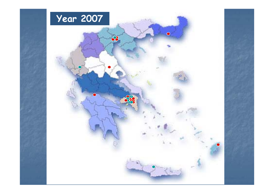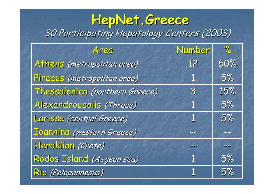#### **HepNet.Greece HepNet.Greece** 30 Participating Hepatology Centers (2003)

| Area                           | Number         | $\frac{9}{6}$            |
|--------------------------------|----------------|--------------------------|
| Athens (metropolitan area)     | 12             | 60%                      |
| Piraeus (metropolitan area)    | $\mathbf 1$    | 5%                       |
| Thessalonica (northern Greece) | $\overline{3}$ | 15%                      |
| Alexandroupolis (Thrace)       | $\mathbf 1$    | 5%                       |
| Larissa (central Greece)       | $\mathbf 1$    | 5%                       |
| Toannina (western Greece)      | $ -$           | $\overline{\phantom{a}}$ |
| Heraklion (Crete)              |                | $\Rightarrow$            |
| Rodos Island (Aegean sea)      | $\mathbf 1$    | 5%                       |
| Rio (Peloponnesus)             | 1              | 5%                       |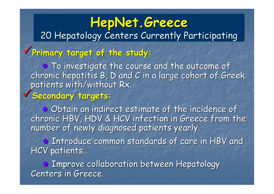# **HepNet.Greece HepNet.Greece** 20 Hepatology Centers Currently Participating <sup>9</sup>**Primary target of the study: Primary target of the study: • To investigate the course and the outcome of** chronic hepatitis B, D and C in a large cohort of Greek<br>patients with/without Rx. <sup>9</sup>**Secondary targets: Secondary targets:**

**●**Obtain an indirect estimate of the incidence of chronic HBV, HDV & HCV infection in Greece from the number of newly diagnosed patients yearly.

**• Introduce common standards of care in HBV and** HCV patients.

**●**Improve collaboration between Hepatology Centers in Greece.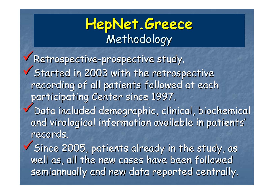# **HepNet.Greece HepNet.Greece** Methodology

<sup>9</sup>Retrospective Retrospective -prospective study. prospective study.  $\checkmark$  Started in 2003 with the retrospective recording of all patients followed at each participating Center since 1997. Data included demographic, clinical, biochemical and virological information available in patients' records.

 $\checkmark$  Since 2005, patients already in the study, as well as, all the new cases have been followed semiannually and new data reported centrally.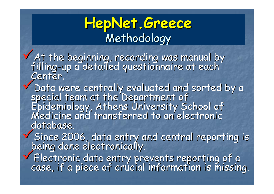## **HepNet.Greece HepNet.Greece** Methodology

V At the beginning, recording was manual by<br>filling-up a detailed questionnaire at each filling-up a detailed questionnaire at each "<br>Center.

Center.<br>
Data were centrally evaluated and sorted by a<br>
special team at the Department of<br>
Epidemiology, Athens University School of<br>
Medicine and transferred to an electronic database.

Since 2006, data entry and central reporting is Since 2006, data entry and central reporting is

Electronic data entry prevents reporting of a<br>case, if a piece of crucial information is missing.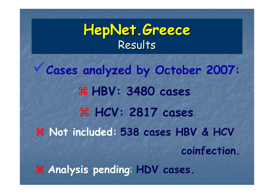#### **HepNet.Greece HepNet.Greece** Results

<sup>9</sup>**Cases analyzed by October 2007:** a **HBV: 3480 cases** a **HCV: 2817 cases** a **Not included: 538 cases HBV & HCV coinfection.** a **Analysis pending**: **HDV cases.**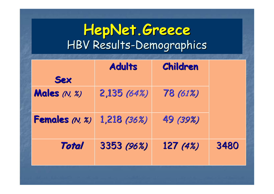#### **HepNet.Greece HepNet.Greece** HBV Results-Demographics

|                     | <b>Adults</b> | <b>Children</b> |      |
|---------------------|---------------|-----------------|------|
| <b>Sex</b>          |               |                 |      |
| <b>Males</b> (N, %) | 2,135(64%)    | 78 (61%)        |      |
| Females (N, %)      | $1,218$ (36%) | 49 (39%)        |      |
| <b>Total</b>        | 3353 (96%)    | 127(4%)         | 3480 |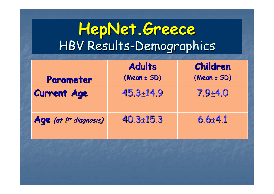# **HepNet.Greece HepNet.Greece** HBV Results-Demographics

|                                    | <b>Adults</b>   | Children    |
|------------------------------------|-----------------|-------------|
| Parameter                          | $(Mean \pm SD)$ | (Mean ± SD) |
| <b>Current Age</b>                 | $45.3 + 14.9$   | $7.9 + 4.0$ |
| Age (at 1 <sup>st</sup> diagnosis) | $40.3 \pm 15.3$ | $6.6 + 4.1$ |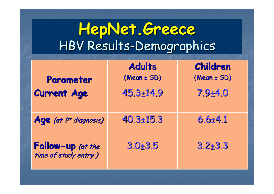# **HepNet.Greece HepNet.Greece** HBV Results-Demographics

| Parameter                                 | <b>Adults</b><br>$(Mean \pm SD)$ | Children<br>$(Mean \pm SD)$ |
|-------------------------------------------|----------------------------------|-----------------------------|
| <b>Current Age</b>                        | $45.3 + 14.9$                    | $7.9 + 4.0$                 |
| Age (at 1 <sup>st</sup> diagnosis)        | $40.3 + 15.3$                    | $6.6 + 4.1$                 |
| Follow-up (at the<br>time of study entry) | $3.0 + 3.5$                      | $3.2 + 3.3$                 |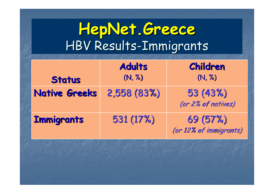|                      | <b>Adults</b> | Children                          |
|----------------------|---------------|-----------------------------------|
| <b>Status</b>        | (N, %)        | (N, %)                            |
| <b>Native Greeks</b> | 2,558 (83%)   | 53(43%)<br>(or 2% of natives)     |
| <b>Immigrants</b>    | 531(17%)      | 69(57%)<br>(or 12% of immigrants) |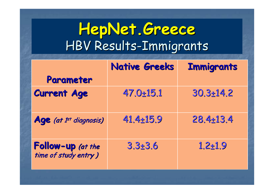|                                           | <b>Native Greeks</b> | <b>Immigrants</b> |
|-------------------------------------------|----------------------|-------------------|
| Parameter                                 |                      |                   |
| <b>Current Age</b>                        | $47.0 + 15.1$        | $30.3 + 14.2$     |
| Age (at 1 <sup>st</sup> diagnosis)        | $41.4 \pm 15.9$      | $28.4 \pm 13.4$   |
| Follow-up (at the<br>time of study entry) | $3.3 + 3.6$          | $1.2 + 1.9$       |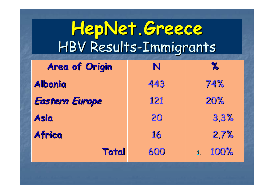| <b>Area of Origin</b> | N   | $\gamma$ |
|-----------------------|-----|----------|
| <b>Albania</b>        | 443 | 74%      |
| <b>Eastern Europe</b> | 121 | 20%      |
| <b>Asia</b>           | 20  | 3.3%     |
| Africa                | 16  | 2.7%     |
| <b>Total</b>          | 600 | 100%     |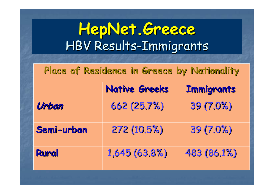#### **Place of Residence in Greece by Nationality Place of Residence in Greece by Nationality**

|            | <b>Native Greeks</b> | <b>Immigrants</b> |
|------------|----------------------|-------------------|
| Urban      | 662(25.7%)           | 39(7.0%)          |
| Semi-urban | 272 (10.5%)          | 39 (7.0%)         |
| Rural      | 1,645(63.8%)         | 483 (86.1%)       |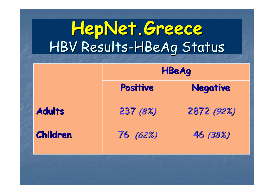# **HepNet.Greece HepNet.Greece** HBV Results-HBeAg Status

|                 | <b>HBeAg</b> |                 |
|-----------------|--------------|-----------------|
|                 | Positive     | <b>Negative</b> |
| <b>Adults</b>   | 237 (8%)     | 2872 (92%)      |
| <b>Children</b> | 76(62%)      | 46 (38%)        |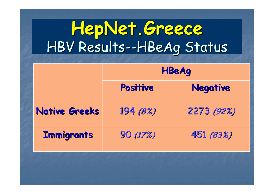# **HepNet.Greece HepNet.Greece** HBV Results--HBeAg Status

|                      | <b>HBeAg</b> |                 |
|----------------------|--------------|-----------------|
|                      | Positive     | <b>Negative</b> |
| <b>Native Greeks</b> | 194 (8%)     | 2273 (92%)      |
| <b>Immigrants</b>    | 90 (17%)     | 451 (83%)       |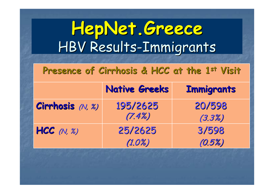**Presence of Cirrhosis & HCC at the 1 Presence of Cirrhosis & HCC at the 1st Visit**

|                  | <b>Native Greeks</b> | <b>Immigrants</b> |
|------------------|----------------------|-------------------|
| Cirrhosis (N, %) | 195/2625<br>(7.4%)   | 20/598<br>(3.3%)  |
| HCC(N, 2)        | 25/2625<br>(1.0%)    | 3/598<br>(0.5%)   |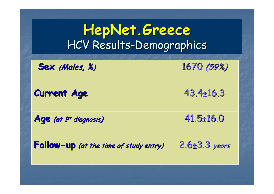#### **HepNet.Greece HepNet.Greece** HCV Results-Demographics

| Sex (Males, %)                         | 1670 (59%)          |
|----------------------------------------|---------------------|
| <b>Current Age</b>                     | $43.4 \pm 16.3$     |
| Age (at 1 <sup>st</sup> diagnosis)     | $41.5 + 16.0$       |
| Follow-up (at the time of study entry) | $2.6 \pm 3.3$ years |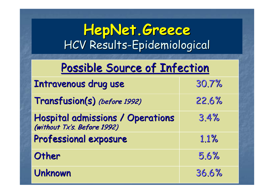#### **HepNet.Greece HepNet.Greece** HCV Results-Epidemiological

#### Possible Source of Infection

| Intravenous drug use                                            | 30.7% |
|-----------------------------------------------------------------|-------|
| Transfusion(s) (before 1992)                                    | 22.6% |
| Hospital admissions / Operations<br>(without Tx's. Before 1992) | 3.4%  |
| Professional exposure                                           | 1.1%  |
| Other                                                           | 5.6%  |
| <b>Unknown</b>                                                  | 36.6% |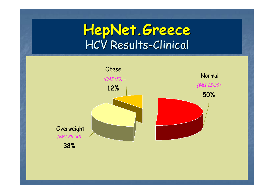#### **HepNet.Greece HepNet.Greece** HCV Results-Clinical

![](_page_23_Figure_1.jpeg)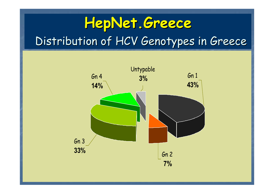# **HepNet.Greece HepNet.Greece** Distribution of HCV Genotypes in Greece

![](_page_24_Figure_1.jpeg)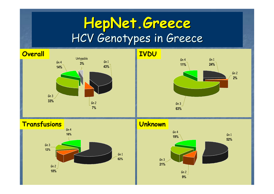# **HepNet.Greece HepNet.Greece** HCV Genotypes in Greece

![](_page_25_Figure_1.jpeg)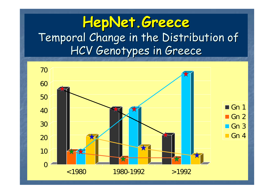#### **HepNet.Greece HepNet.Greece** Temporal Change in the Distribution of HCV Genotypes in Greece

![](_page_26_Figure_1.jpeg)